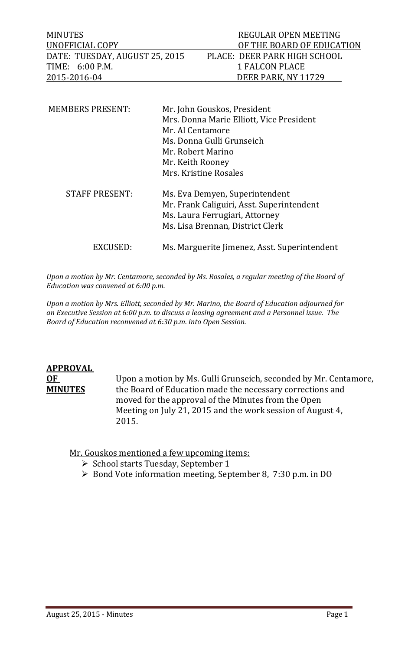| MINUTES                        | REGULAR OPEN MEETING         |
|--------------------------------|------------------------------|
| UNOFFICIAL COPY                | OF THE BOARD OF EDUCATION    |
| DATE: TUESDAY, AUGUST 25, 2015 | PLACE: DEER PARK HIGH SCHOOL |
| TIME: 6:00 P.M.                | 1 FALCON PLACE               |
| 2015-2016-04                   | DEER PARK. NY 11729          |

| <b>MEMBERS PRESENT:</b> | Mr. John Gouskos, President<br>Mrs. Donna Marie Elliott, Vice President<br>Mr. Al Centamore<br>Ms. Donna Gulli Grunseich<br>Mr. Robert Marino<br>Mr. Keith Rooney<br>Mrs. Kristine Rosales |
|-------------------------|--------------------------------------------------------------------------------------------------------------------------------------------------------------------------------------------|
| <b>STAFF PRESENT:</b>   | Ms. Eva Demyen, Superintendent<br>Mr. Frank Caliguiri, Asst. Superintendent<br>Ms. Laura Ferrugiari, Attorney<br>Ms. Lisa Brennan, District Clerk                                          |
| EXCUSED:                | Ms. Marguerite Jimenez, Asst. Superintendent                                                                                                                                               |

*Upon a motion by Mr. Centamore, seconded by Ms. Rosales, a regular meeting of the Board of Education was convened at 6:00 p.m.*

*Upon a motion by Mrs. Elliott, seconded by Mr. Marino, the Board of Education adjourned for an Executive Session at 6:00 p.m. to discuss a leasing agreement and a Personnel issue. The Board of Education reconvened at 6:30 p.m. into Open Session.* 

# **APPROVAL**

**OF** Upon a motion by Ms. Gulli Grunseich, seconded by Mr. Centamore, **MINUTES** the Board of Education made the necessary corrections and moved for the approval of the Minutes from the Open Meeting on July 21, 2015 and the work session of August 4, 2015. 

Mr. Gouskos mentioned a few upcoming items:

- $\triangleright$  School starts Tuesday, September 1
- $\triangleright$  Bond Vote information meeting, September 8, 7:30 p.m. in DO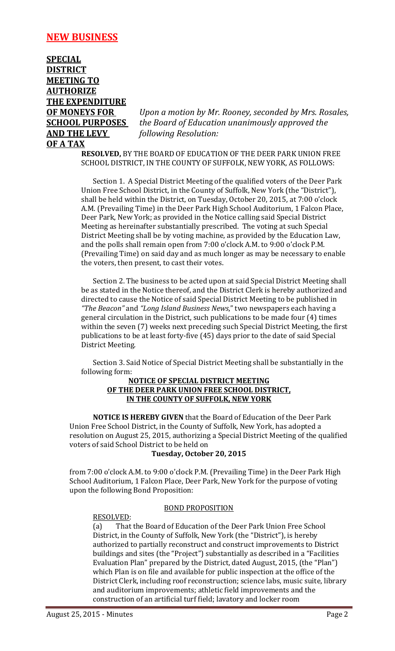#### **NEW BUSINESS**

**SPECIAL DISTRICT MEETING TO AUTHORIZE THE EXPENDITURE AND THE LEVY** *following Resolution:* **OFA TAX** 

**OF MONEYS FOR** *Upon a motion by Mr. Rooney, seconded by Mrs. Rosales,* **SCHOOL PURPOSES** *the Board of Education unanimously approved the* 

> **RESOLVED, BY THE BOARD OF EDUCATION OF THE DEER PARK UNION FREE** SCHOOL DISTRICT, IN THE COUNTY OF SUFFOLK, NEW YORK, AS FOLLOWS:

Section 1. A Special District Meeting of the qualified voters of the Deer Park Union Free School District, in the County of Suffolk, New York (the "District"), shall be held within the District, on Tuesday, October 20, 2015, at 7:00 o'clock A.M. (Prevailing Time) in the Deer Park High School Auditorium, 1 Falcon Place, Deer Park, New York; as provided in the Notice calling said Special District Meeting as hereinafter substantially prescribed. The voting at such Special District Meeting shall be by voting machine, as provided by the Education Law, and the polls shall remain open from 7:00 o'clock A.M. to 9:00 o'clock P.M. (Prevailing Time) on said day and as much longer as may be necessary to enable the voters, then present, to cast their votes.

Section 2. The business to be acted upon at said Special District Meeting shall be as stated in the Notice thereof, and the District Clerk is hereby authorized and directed to cause the Notice of said Special District Meeting to be published in *"The Beacon"* and *"Long Island Business News*," two newspapers each having a general circulation in the District, such publications to be made four (4) times within the seven (7) weeks next preceding such Special District Meeting, the first publications to be at least forty-five (45) days prior to the date of said Special District Meeting.

Section 3. Said Notice of Special District Meeting shall be substantially in the following form:

#### **NOTICE OF SPECIAL DISTRICT MEETING OF THE DEER PARK UNION FREE SCHOOL DISTRICT, IN THE COUNTY OF SUFFOLK, NEW YORK**

**NOTICE IS HEREBY GIVEN** that the Board of Education of the Deer Park Union Free School District, in the County of Suffolk, New York, has adopted a resolution on August 25, 2015, authorizing a Special District Meeting of the qualified voters of said School District to be held on

#### **Tuesday, October 20, 2015**

from 7:00 o'clock A.M. to 9:00 o'clock P.M. (Prevailing Time) in the Deer Park High School Auditorium, 1 Falcon Place, Deer Park, New York for the purpose of voting upon the following Bond Proposition:

#### **BOND PROPOSITION**

RESOLVED: 

(a) That the Board of Education of the Deer Park Union Free School District, in the County of Suffolk, New York (the "District"), is hereby authorized to partially reconstruct and construct improvements to District buildings and sites (the "Project") substantially as described in a "Facilities Evaluation Plan" prepared by the District, dated August, 2015, (the "Plan") which Plan is on file and available for public inspection at the office of the District Clerk, including roof reconstruction; science labs, music suite, library and auditorium improvements; athletic field improvements and the construction of an artificial turf field; lavatory and locker room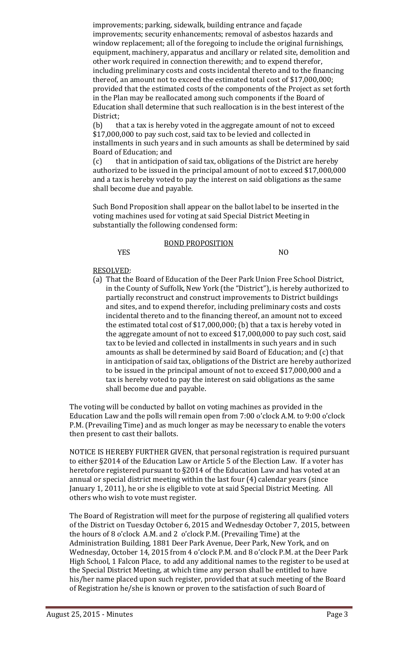improvements; parking, sidewalk, building entrance and façade improvements; security enhancements; removal of asbestos hazards and window replacement; all of the foregoing to include the original furnishings, equipment, machinery, apparatus and ancillary or related site, demolition and other work required in connection therewith; and to expend therefor, including preliminary costs and costs incidental thereto and to the financing thereof, an amount not to exceed the estimated total cost of \$17,000,000; provided that the estimated costs of the components of the Project as set forth in the Plan may be reallocated among such components if the Board of Education shall determine that such reallocation is in the best interest of the District; 

(b) that a tax is hereby voted in the aggregate amount of not to exceed \$17,000,000 to pay such cost, said tax to be levied and collected in installments in such years and in such amounts as shall be determined by said Board of Education; and

(c) that in anticipation of said tax, obligations of the District are hereby authorized to be issued in the principal amount of not to exceed \$17,000,000 and a tax is hereby voted to pay the interest on said obligations as the same shall become due and payable.

Such Bond Proposition shall appear on the ballot label to be inserted in the voting machines used for voting at said Special District Meeting in substantially the following condensed form:

#### **BOND PROPOSITION**

YES NO

#### RESOLVED:

(a) That the Board of Education of the Deer Park Union Free School District, in the County of Suffolk, New York (the "District"), is hereby authorized to partially reconstruct and construct improvements to District buildings and sites, and to expend therefor, including preliminary costs and costs incidental thereto and to the financing thereof, an amount not to exceed the estimated total cost of  $$17,000,000$ ; (b) that a tax is hereby voted in the aggregate amount of not to exceed  $$17,000,000$  to pay such cost, said tax to be levied and collected in installments in such years and in such amounts as shall be determined by said Board of Education; and (c) that in anticipation of said tax, obligations of the District are hereby authorized to be issued in the principal amount of not to exceed \$17,000,000 and a tax is hereby voted to pay the interest on said obligations as the same shall become due and payable.

The voting will be conducted by ballot on voting machines as provided in the Education Law and the polls will remain open from 7:00 o'clock A.M. to 9:00 o'clock P.M. (Prevailing Time) and as much longer as may be necessary to enable the voters then present to cast their ballots.

NOTICE IS HEREBY FURTHER GIVEN, that personal registration is required pursuant to either §2014 of the Education Law or Article 5 of the Election Law. If a voter has heretofore registered pursuant to  $\S2014$  of the Education Law and has voted at an annual or special district meeting within the last four  $(4)$  calendar years (since January 1, 2011), he or she is eligible to vote at said Special District Meeting. All others who wish to vote must register.

The Board of Registration will meet for the purpose of registering all qualified voters of the District on Tuesday October 6, 2015 and Wednesday October 7, 2015, between the hours of  $8$  o'clock A.M. and  $2$  o'clock P.M. (Prevailing Time) at the Administration Building, 1881 Deer Park Avenue, Deer Park, New York, and on Wednesday, October 14, 2015 from 4 o'clock P.M. and 8 o'clock P.M. at the Deer Park High School, 1 Falcon Place, to add any additional names to the register to be used at the Special District Meeting, at which time any person shall be entitled to have his/her name placed upon such register, provided that at such meeting of the Board of Registration he/she is known or proven to the satisfaction of such Board of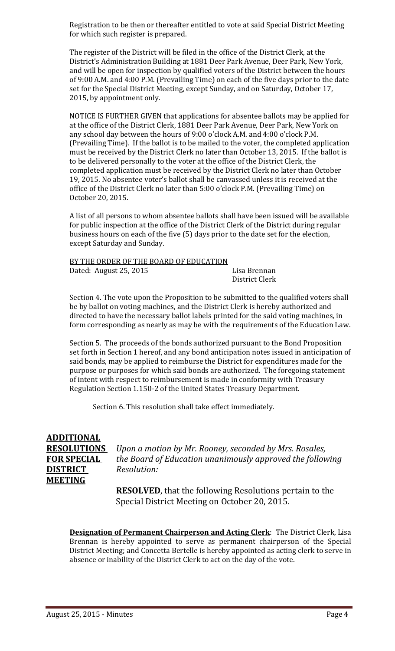Registration to be then or thereafter entitled to vote at said Special District Meeting for which such register is prepared.

The register of the District will be filed in the office of the District Clerk, at the District's Administration Building at 1881 Deer Park Avenue, Deer Park, New York, and will be open for inspection by qualified voters of the District between the hours of 9:00 A.M. and 4:00 P.M. (Prevailing Time) on each of the five days prior to the date set for the Special District Meeting, except Sunday, and on Saturday, October 17, 2015, by appointment only.

NOTICE IS FURTHER GIVEN that applications for absentee ballots may be applied for at the office of the District Clerk, 1881 Deer Park Avenue, Deer Park, New York on any school day between the hours of 9:00 o'clock A.M. and 4:00 o'clock P.M. (Prevailing Time). If the ballot is to be mailed to the voter, the completed application must be received by the District Clerk no later than October 13, 2015. If the ballot is to be delivered personally to the voter at the office of the District Clerk, the completed application must be received by the District Clerk no later than October 19, 2015. No absentee voter's ballot shall be canvassed unless it is received at the office of the District Clerk no later than 5:00 o'clock P.M. (Prevailing Time) on October 20, 2015. 

A list of all persons to whom absentee ballots shall have been issued will be available for public inspection at the office of the District Clerk of the District during regular business hours on each of the five (5) days prior to the date set for the election, except Saturday and Sunday.

| BY THE ORDER OF THE BOARD OF EDUCATION |                |
|----------------------------------------|----------------|
| Dated: August 25, 2015                 | Lisa Brennan   |
|                                        | District Clerk |

Section 4. The vote upon the Proposition to be submitted to the qualified voters shall be by ballot on voting machines, and the District Clerk is hereby authorized and directed to have the necessary ballot labels printed for the said voting machines, in form corresponding as nearly as may be with the requirements of the Education Law.

Section 5. The proceeds of the bonds authorized pursuant to the Bond Proposition set forth in Section 1 hereof, and any bond anticipation notes issued in anticipation of said bonds, may be applied to reimburse the District for expenditures made for the purpose or purposes for which said bonds are authorized. The foregoing statement of intent with respect to reimbursement is made in conformity with Treasury Regulation Section 1.150-2 of the United States Treasury Department.

Section 6. This resolution shall take effect immediately.

## **ADDITIONAL DISTRICT** *Resolution:* **MEETING**

**RESOLUTIONS** *Upon a motion by Mr. Rooney, seconded by Mrs. Rosales,*  **FOR SPECIAL** *the Board of Education unanimously approved the following*

> **RESOLVED**, that the following Resolutions pertain to the Special District Meeting on October 20, 2015.

**Designation of Permanent Chairperson and Acting Clerk:** The District Clerk, Lisa Brennan is hereby appointed to serve as permanent chairperson of the Special District Meeting; and Concetta Bertelle is hereby appointed as acting clerk to serve in absence or inability of the District Clerk to act on the day of the vote.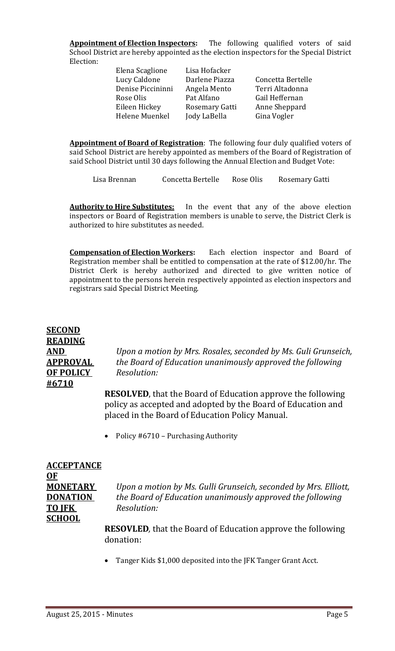**Appointment of Election Inspectors:** The following qualified voters of said School District are hereby appointed as the election inspectors for the Special District Election: 

> Elena Scaglione Lisa Hofacker Lucy Caldone Darlene Piazza Concetta Bertelle Denise Piccininni Angela Mento Terri Altadonna Rose Olis **Pat Alfano Gail Heffernan** Eileen Hickey Rosemary Gatti Anne Sheppard Helene Muenkel Jody LaBella Gina Vogler

Appointment of Board of Registration: The following four duly qualified voters of said School District are hereby appointed as members of the Board of Registration of said School District until 30 days following the Annual Election and Budget Vote:

Lisa Brennan Concetta Bertelle Rose Olis Rosemary Gatti

**Authority to Hire Substitutes:** In the event that any of the above election inspectors or Board of Registration members is unable to serve, the District Clerk is authorized to hire substitutes as needed.

**Compensation of Election Workers:** Each election inspector and Board of Registration member shall be entitled to compensation at the rate of \$12.00/hr. The District Clerk is hereby authorized and directed to give written notice of appointment to the persons herein respectively appointed as election inspectors and registrars said Special District Meeting.

### **SECOND READING OF POLICY** *Resolution:* **#6710**

**AND** *Upon a motion by Mrs. Rosales, seconded by Ms. Guli Grunseich,* **APPROVAL** *the Board of Education unanimously approved the following* 

> **RESOLVED**, that the Board of Education approve the following policy as accepted and adopted by the Board of Education and placed in the Board of Education Policy Manual.

• Policy  $#6710$  – Purchasing Authority

| <b>ACCEPTANCE</b> |                                                                     |
|-------------------|---------------------------------------------------------------------|
| $OF$              |                                                                     |
| <b>MONETARY</b>   | Upon a motion by Ms. Gulli Grunseich, seconded by Mrs. Elliott,     |
| <b>DONATION</b>   | the Board of Education unanimously approved the following           |
| <b>TO JFK</b>     | Resolution:                                                         |
| <b>SCHOOL</b>     |                                                                     |
|                   | <b>RESOVLED</b> , that the Board of Education approve the following |
|                   | donation:                                                           |

• Tanger Kids \$1,000 deposited into the JFK Tanger Grant Acct.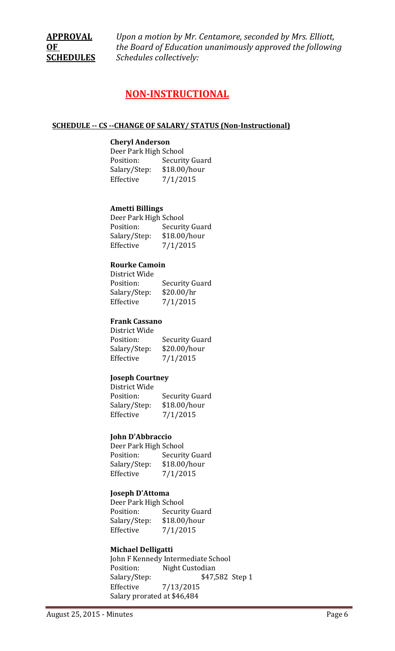**APPROVAL** *Upon a motion by Mr. Centamore, seconded by Mrs. Elliott,*  **OF** *the Board of Education unanimously approved the following* **SCHEDULES** *Schedules collectively:*

### **NON‐INSTRUCTIONAL**

#### **SCHEDULE ‐‐ CS ‐‐CHANGE OF SALARY/ STATUS (Non‐Instructional)**

#### **Cheryl Anderson**

Deer Park High School Position: Security Guard Salary/Step: \$18.00/hour Effective  $7/1/2015$ 

#### **Ametti Billings**

Deer Park High School Position: Security Guard Salary/Step: \$18.00/hour Effective  $7/1/2015$ 

#### **Rourke Camoin**

District Wide Position: Security Guard Salary/Step: \$20.00/hr Effective  $7/1/2015$ 

#### **Frank Cassano**

District Wide Position: Security Guard Salary/Step: \$20.00/hour Effective  $7/1/2015$ 

#### **Joseph Courtney**

District Wide Position: Security Guard Salary/Step: \$18.00/hour Effective  $7/1/2015$ 

#### **John D'Abbraccio**

Deer Park High School Position: Security Guard Salary/Step: \$18.00/hour Effective  $7/1/2015$ 

#### **Joseph D'Attoma**

Deer Park High School Position: Security Guard Salary/Step: \$18.00/hour Effective  $7/1/2015$ 

#### **Michael Delligatti**

John F Kennedy Intermediate School Position: Night Custodian Salary/Step: \$47,582 Step 1 Effective 7/13/2015 Salary prorated at \$46,484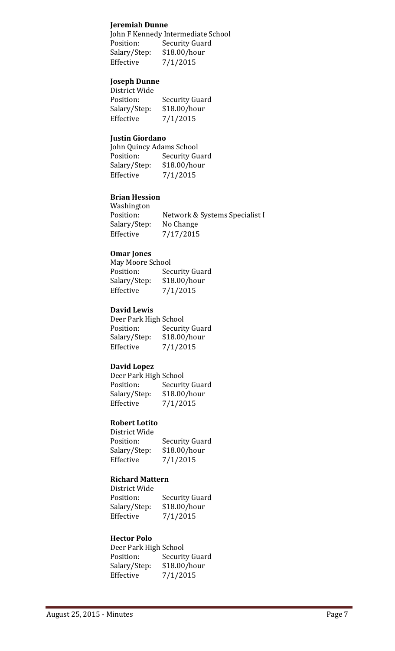#### **Jeremiah Dunne**

John F Kennedy Intermediate School Position: Security Guard Salary/Step: \$18.00/hour Effective  $7/1/2015$ 

#### **Joseph Dunne**

| Security Guard |
|----------------|
| \$18.00/hour   |
| 7/1/2015       |
|                |

#### **Justin Giordano**

John Quincy Adams School Position: Security Guard Salary/Step: \$18.00/hour Effective  $7/1/2015$ 

#### **Brian Hession**

 Washington Position: Network & Systems Specialist I Salary/Step: No Change Effective  $7/17/2015$ 

#### **Omar Jones**

May Moore School Position: Security Guard Salary/Step: \$18.00/hour Effective  $7/1/2015$ 

#### **David Lewis**

Deer Park High School Position: Security Guard Salary/Step: \$18.00/hour Effective  $7/1/2015$ 

#### **David Lopez**

Deer Park High School Position: Security Guard Salary/Step: \$18.00/hour Effective  $7/1/2015$ 

#### **Robert Lotito**

District Wide Position: Security Guard Salary/Step: \$18.00/hour Effective  $7/1/2015$ 

#### **Richard Mattern**

District Wide Position: Security Guard Salary/Step: \$18.00/hour Effective  $7/1/2015$ 

#### **Hector Polo**

Deer Park High School Position: Security Guard Salary/Step: \$18.00/hour Effective  $7/1/2015$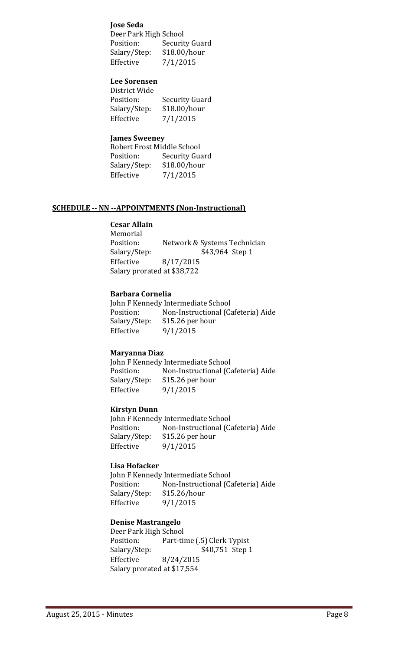#### **Jose Seda**

Deer Park High School Position: Security Guard Salary/Step: \$18.00/hour Effective  $7/1/2015$ 

#### **Lee Sorensen**  $\mathbf{D}$  by  $\mathbf{M}$   $\mathbf{D}$  and  $\mathbf{D}$

| DISTRICT WIDE |                       |
|---------------|-----------------------|
| Position:     | <b>Security Guard</b> |
| Salary/Step:  | \$18.00/hour          |
| Effective     | 7/1/2015              |
|               |                       |

#### **James Sweeney**

| Robert Frost Middle School |                |
|----------------------------|----------------|
| Position:                  | Security Guard |
| Salary/Step:               | \$18.00/hour   |
| Effective                  | 7/1/2015       |

#### **SCHEDULE ‐‐ NN ‐‐APPOINTMENTS (Non‐Instructional)**

#### **Cesar Allain**

 Memorial Position: Network & Systems Technician Salary/Step: \$43,964 Step 1 Effective  $8/17/2015$ Salary prorated at \$38,722

#### **Barbara Cornelia**

John F Kennedy Intermediate School Position: Non-Instructional (Cafeteria) Aide Salary/Step: \$15.26 per hour Effective 9/1/2015

#### **Maryanna Diaz**

John F Kennedy Intermediate School Position: Non-Instructional (Cafeteria) Aide Salary/Step: \$15.26 per hour Effective  $9/1/2015$ 

#### **Kirstyn Dunn**

John F Kennedy Intermediate School Position: Non-Instructional (Cafeteria) Aide Salary/Step: \$15.26 per hour Effective  $9/1/2015$ 

#### **Lisa Hofacker**

John F Kennedy Intermediate School Position: Non-Instructional (Cafeteria) Aide Salary/Step: \$15.26/hour Effective  $9/1/2015$ 

#### **Denise Mastrangelo**

Deer Park High School Position: Part-time (.5) Clerk Typist Salary/Step: \$40,751 Step 1 Effective 8/24/2015 Salary prorated at \$17,554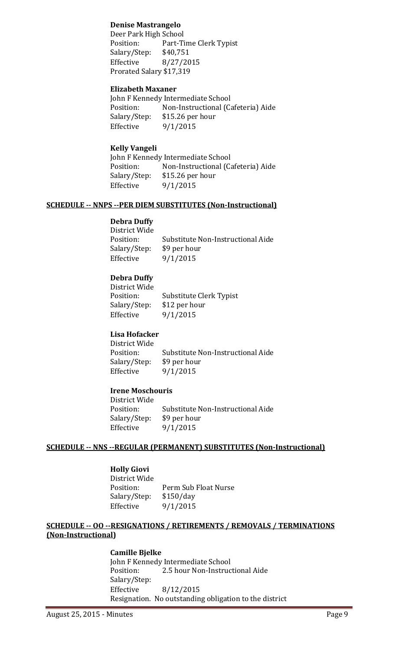#### **Denise Mastrangelo**

Deer Park High School Position: Part-Time Clerk Typist Salary/Step: \$40,751 Effective 8/27/2015 Prorated Salary \$17,319

#### **Elizabeth Maxaner**

John F Kennedy Intermediate School Position: Non-Instructional (Cafeteria) Aide Salary/Step: \$15.26 per hour Effective  $9/1/2015$ 

#### **Kelly Vangeli**

John F Kennedy Intermediate School Position: Non-Instructional (Cafeteria) Aide Salary/Step: \$15.26 per hour Effective  $9/1/2015$ 

#### **SCHEDULE ‐‐ NNPS ‐‐PER DIEM SUBSTITUTES (Non‐Instructional)**

#### **Debra Duffy**

| Substitute Non-Instructional Aide |
|-----------------------------------|
| Salary/Step: \$9 per hour         |
| 9/1/2015                          |
|                                   |

#### **Debra Duffy**

| District Wide |                         |
|---------------|-------------------------|
| Position:     | Substitute Clerk Typist |
| Salary/Step:  | \$12 per hour           |
| Effective     | 9/1/2015                |
|               |                         |

#### **Lisa Hofacker**

District Wide Position: Substitute Non-Instructional Aide Salary/Step: \$9 per hour Effective  $9/1/2015$ 

#### **Irene Moschouris**

District Wide Position: Substitute Non-Instructional Aide Salary/Step: \$9 per hour Effective  $9/1/2015$ 

#### **SCHEDULE ‐‐ NNS ‐‐REGULAR (PERMANENT) SUBSTITUTES (Non‐Instructional)**

#### **Holly Giovi**

District Wide Position: Perm Sub Float Nurse Salary/Step: \$150/day Effective  $9/1/2015$ 

#### **SCHEDULE ‐‐ OO ‐‐RESIGNATIONS / RETIREMENTS / REMOVALS / TERMINATIONS (Non‐Instructional)**

#### **Camille Bjelke**

John F Kennedy Intermediate School Position: 2.5 hour Non-Instructional Aide Salary/Step: Effective 8/12/2015 Resignation. No outstanding obligation to the district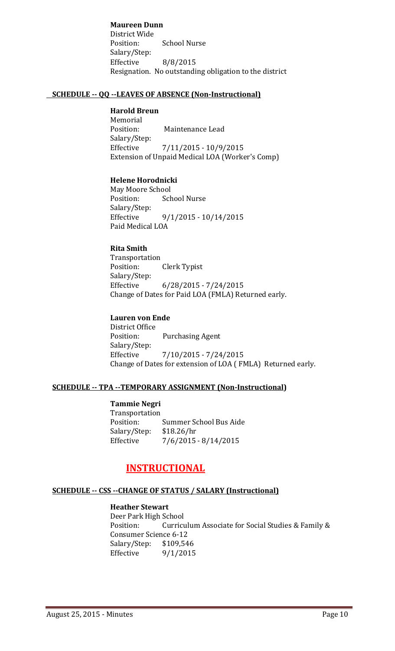**Maureen Dunn** District Wide Position: School Nurse Salary/Step: Effective  $8/8/2015$ Resignation. No outstanding obligation to the district

#### **SCHEDULE ‐‐ QQ ‐‐LEAVES OF ABSENCE (Non‐Instructional)**

#### **Harold Breun**

 Memorial Position: Maintenance Lead Salary/Step: Effective  $7/11/2015 - 10/9/2015$ Extension of Unpaid Medical LOA (Worker's Comp)

#### **Helene Horodnicki**

May Moore School Position: School Nurse Salary/Step: Effective  $9/1/2015 - 10/14/2015$ Paid Medical LOA

#### **Rita Smith**

 Transportation Position: Clerk Typist Salary/Step: Effective 6/28/2015 - 7/24/2015 Change of Dates for Paid LOA (FMLA) Returned early.

#### **Lauren von Ende**

District Office Position: Purchasing Agent Salary/Step: Effective  $7/10/2015 - 7/24/2015$ Change of Dates for extension of LOA (FMLA) Returned early.

#### **SCHEDULE ‐‐ TPA ‐‐TEMPORARY ASSIGNMENT (Non‐Instructional)**

#### **Tammie Negri**

 Transportation Position: Summer School Bus Aide Salary/Step: \$18.26/hr Effective  $7/6/2015 - 8/14/2015$ 

#### **INSTRUCTIONAL**

#### **SCHEDULE ‐‐ CSS ‐‐CHANGE OF STATUS / SALARY (Instructional)**

#### **Heather Stewart**

Deer Park High School Position: Curriculum Associate for Social Studies & Family & Consumer Science 6-12 Salary/Step: \$109,546 Effective  $9/1/2015$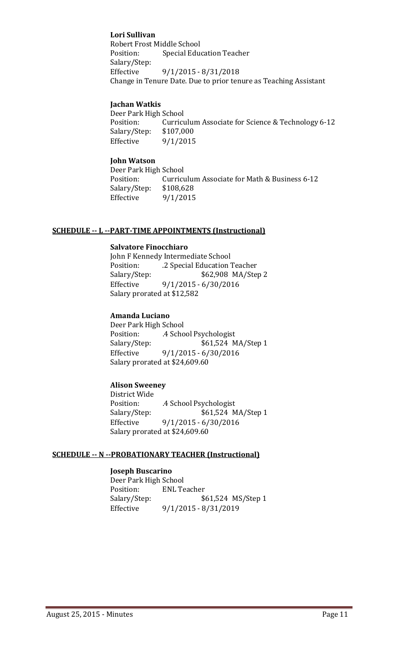#### **Lori Sullivan**

Robert Frost Middle School Position: Special Education Teacher Salary/Step: Effective  $9/1/2015 - 8/31/2018$ Change in Tenure Date. Due to prior tenure as Teaching Assistant

#### **Jachan Watkis**

Deer Park High School Position: Curriculum Associate for Science & Technology 6-12 Salary/Step: \$107,000 Effective  $9/1/2015$ 

#### **John Watson**

Deer Park High School Position: Curriculum Associate for Math & Business 6-12 Salary/Step: \$108,628 Effective 9/1/2015

#### **SCHEDULE ‐‐ L ‐‐PART‐TIME APPOINTMENTS (Instructional)**

#### **Salvatore Finocchiaro**

John F Kennedy Intermediate School Position: ... 2 Special Education Teacher Salary/Step: \$62,908 MA/Step 2 Effective 9/1/2015 - 6/30/2016 Salary prorated at \$12,582

#### **Amanda Luciano**

Deer Park High School Position: .4 School Psychologist Salary/Step:  $$61,524 \text{ MA}/\text{Step 1}$ Effective 9/1/2015 - 6/30/2016 Salary prorated at \$24,609.60

#### **Alison Sweeney**

District Wide Position: .4 School Psychologist Salary/Step: \$61,524 MA/Step 1 Effective  $9/1/2015 - 6/30/2016$ Salary prorated at \$24,609.60

#### **SCHEDULE ‐‐ N ‐‐PROBATIONARY TEACHER (Instructional)**

#### **Joseph Buscarino**

Deer Park High School Position: ENL Teacher Salary/Step: \$61,524 MS/Step 1 Effective 9/1/2015 - 8/31/2019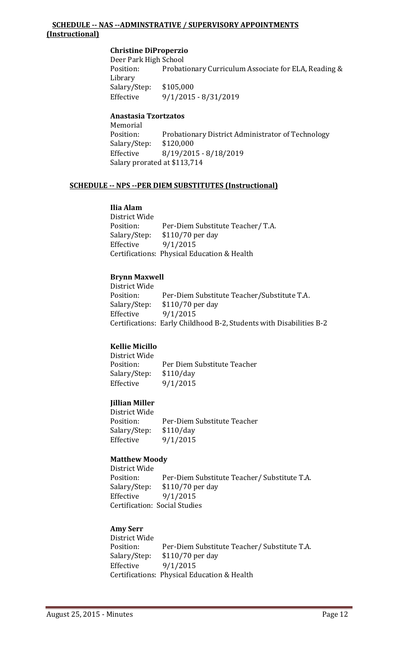#### **SCHEDULE ‐‐ NAS ‐‐ADMINSTRATIVE / SUPERVISORY APPOINTMENTS (Instructional)**

#### **Christine DiProperzio**

Deer Park High School Position: Probationary Curriculum Associate for ELA, Reading & Library Salary/Step: \$105,000 Effective 9/1/2015 - 8/31/2019

#### **Anastasia Tzortzatos**

 Memorial Position: Probationary District Administrator of Technology Salary/Step: \$120,000 Effective 8/19/2015 - 8/18/2019 Salary prorated at \$113,714

#### **SCHEDULE ‐‐ NPS ‐‐PER DIEM SUBSTITUTES (Instructional)**

#### **Ilia Alam**

District Wide Position: Per-Diem Substitute Teacher/ T.A. Salary/Step: \$110/70 per day Effective  $9/1/2015$ Certifications: Physical Education & Health

#### **Brynn Maxwell**

District Wide Position: Per-Diem Substitute Teacher/Substitute T.A. Salary/Step: \$110/70 per day Effective  $9/1/2015$ Certifications: Early Childhood B-2, Students with Disabilities B-2

#### **Kellie Micillo**

District Wide Position: Per Diem Substitute Teacher Salary/Step: \$110/day Effective  $9/1/2015$ 

#### **Jillian Miller**

District Wide Position: Per-Diem Substitute Teacher Salary/Step: \$110/day Effective  $9/1/2015$ 

#### **Matthew Moody**

District Wide Position: Per-Diem Substitute Teacher/ Substitute T.A. Salary/Step: \$110/70 per day Effective  $9/1/2015$ Certification: Social Studies

#### **Amy Serr**

District Wide Position: Per-Diem Substitute Teacher/ Substitute T.A. Salary/Step: \$110/70 per day Effective  $9/1/2015$ Certifications: Physical Education & Health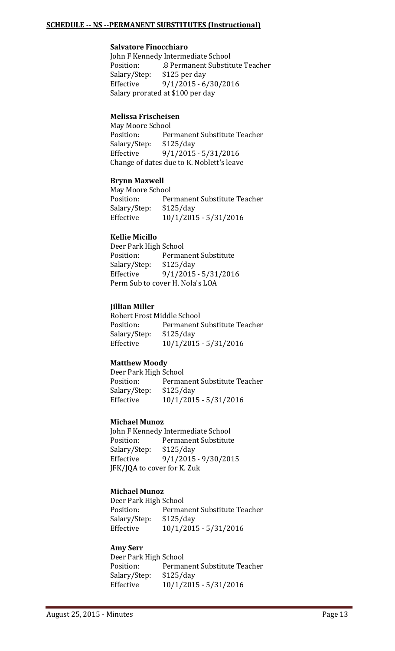#### **SCHEDULE ‐‐ NS ‐‐PERMANENT SUBSTITUTES (Instructional)**

#### **Salvatore Finocchiaro**

John F Kennedy Intermediate School Position: .8 Permanent Substitute Teacher Salary/Step: \$125 per day Effective  $9/1/2015 - 6/30/2016$ Salary prorated at \$100 per day

#### **Melissa Frischeisen**

May Moore School Position: Permanent Substitute Teacher Salary/Step: \$125/day Effective 9/1/2015 - 5/31/2016 Change of dates due to K. Noblett's leave

#### **Brynn Maxwell**

May Moore School Position: Permanent Substitute Teacher Salary/Step: \$125/day Effective  $10/1/2015 - 5/31/2016$ 

#### **Kellie Micillo**

Deer Park High School Position: Permanent Substitute Salary/Step: \$125/day Effective 9/1/2015 - 5/31/2016 Perm Sub to cover H. Nola's LOA

#### **Jillian Miller**

Robert Frost Middle School Position: Permanent Substitute Teacher Salary/Step: \$125/day Effective  $10/1/2015 - 5/31/2016$ 

#### **Matthew Moody**

Deer Park High School Position: Permanent Substitute Teacher Salary/Step: \$125/day Effective  $10/1/2015 - 5/31/2016$ 

#### **Michael Munoz**

John F Kennedy Intermediate School Position: Permanent Substitute Salary/Step: \$125/day Effective 9/1/2015 - 9/30/2015 JFK/JQA to cover for K. Zuk

#### **Michael Munoz**

Deer Park High School Position: Permanent Substitute Teacher Salary/Step: \$125/day Effective  $10/1/2015 - 5/31/2016$ 

#### **Amy Serr**

Deer Park High School Position: Permanent Substitute Teacher Salary/Step: \$125/day Effective  $10/1/2015 - 5/31/2016$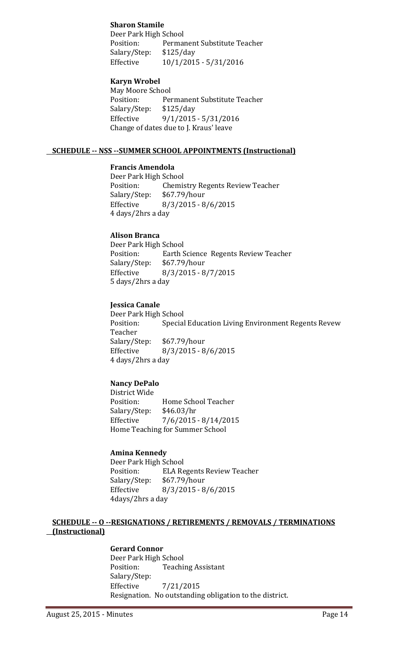#### **Sharon Stamile**

Deer Park High School Position: Permanent Substitute Teacher Salary/Step: \$125/day Effective  $10/1/2015 - 5/31/2016$ 

#### **Karyn Wrobel**

May Moore School Position: Permanent Substitute Teacher Salary/Step: \$125/day Effective  $9/1/2015 - 5/31/2016$ Change of dates due to J. Kraus' leave

#### **SCHEDULE ‐‐ NSS ‐‐SUMMER SCHOOL APPOINTMENTS (Instructional)**

#### **Francis Amendola**

Deer Park High School Position: Chemistry Regents Review Teacher Salary/Step: \$67.79/hour Effective 8/3/2015 - 8/6/2015 4 days/2hrs a day

#### **Alison Branca**

Deer Park High School Position: Earth Science Regents Review Teacher Salary/Step: \$67.79/hour Effective 8/3/2015 - 8/7/2015 5 days/2hrs a day

#### **Jessica Canale**

Deer Park High School Position: Special Education Living Environment Regents Revew Teacher Salary/Step: \$67.79/hour Effective 8/3/2015 - 8/6/2015 4 days/2hrs a day

#### **Nancy DePalo**

District Wide Position: Home School Teacher Salary/Step: \$46.03/hr Effective  $7/6/2015 - 8/14/2015$ Home Teaching for Summer School

#### **Amina Kennedy**

Deer Park High School Position: ELA Regents Review Teacher Salary/Step: \$67.79/hour Effective 8/3/2015 - 8/6/2015 4days/2hrs a day

#### **SCHEDULE ‐‐ O ‐‐RESIGNATIONS / RETIREMENTS / REMOVALS / TERMINATIONS (Instructional)**

#### **Gerard Connor**

Deer Park High School Position: Teaching Assistant Salary/Step: Effective 7/21/2015 Resignation. No outstanding obligation to the district.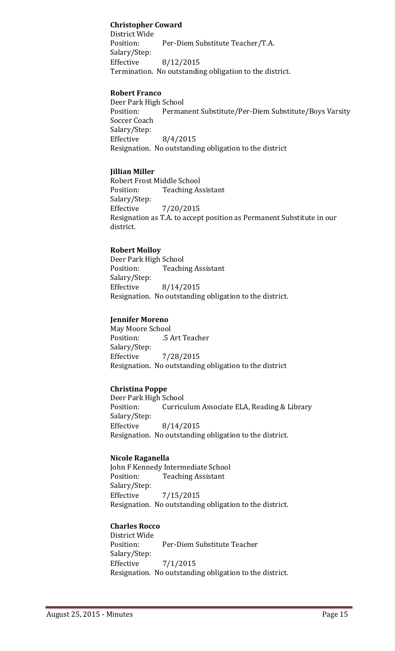#### **Christopher Coward**

District Wide Position: Per-Diem Substitute Teacher/T.A. Salary/Step: Effective  $8/12/2015$ Termination. No outstanding obligation to the district.

#### **Robert Franco**

Deer Park High School Position: Permanent Substitute/Per-Diem Substitute/Boys Varsity Soccer Coach Salary/Step: Effective  $8/4/2015$ Resignation. No outstanding obligation to the district

#### **Jillian Miller**

Robert Frost Middle School Position: Teaching Assistant Salary/Step: Effective 7/20/2015 Resignation as T.A. to accept position as Permanent Substitute in our district.

#### **Robert Molloy**

Deer Park High School Position: Teaching Assistant Salary/Step: Effective 8/14/2015 Resignation. No outstanding obligation to the district.

#### **Jennifer Moreno**

May Moore School Position: .5 Art Teacher Salary/Step: Effective 7/28/2015 Resignation. No outstanding obligation to the district

#### **Christina Poppe**

Deer Park High School Position: Curriculum Associate ELA, Reading & Library Salary/Step: Effective 8/14/2015 Resignation. No outstanding obligation to the district.

#### **Nicole Raganella**

John F Kennedy Intermediate School Position: Teaching Assistant Salary/Step: Effective 7/15/2015 Resignation. No outstanding obligation to the district.

#### **Charles Rocco**

District Wide Position: Per-Diem Substitute Teacher Salary/Step: Effective  $7/1/2015$ Resignation. No outstanding obligation to the district.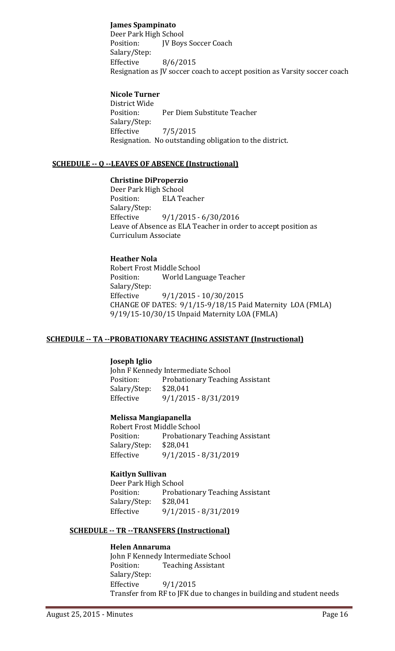#### **James Spampinato**

Deer Park High School Position: **JV Boys Soccer Coach**  Salary/Step: Effective  $8/6/2015$ Resignation as JV soccer coach to accept position as Varsity soccer coach

#### **Nicole Turner**

District Wide Position: Per Diem Substitute Teacher Salary/Step: Effective  $7/5/2015$ Resignation. No outstanding obligation to the district.

#### **SCHEDULE ‐‐ Q ‐‐LEAVES OF ABSENCE (Instructional)**

#### **Christine DiProperzio**

Deer Park High School Position: ELA Teacher Salary/Step: Effective  $9/1/2015 - 6/30/2016$ Leave of Absence as ELA Teacher in order to accept position as Curriculum Associate

#### **Heather Nola**

Robert Frost Middle School Position: World Language Teacher Salary/Step: Effective 9/1/2015 - 10/30/2015 CHANGE OF DATES:  $9/1/15-9/18/15$  Paid Maternity LOA (FMLA) 9/19/15-10/30/15 Unpaid Maternity LOA (FMLA)

#### **SCHEDULE ‐‐ TA ‐‐PROBATIONARY TEACHING ASSISTANT (Instructional)**

#### **Joseph Iglio**

John F Kennedy Intermediate School Position: Probationary Teaching Assistant Salary/Step: \$28,041 Effective 9/1/2015 - 8/31/2019

#### **Melissa Mangiapanella**

Robert Frost Middle School Position: Probationary Teaching Assistant Salary/Step: \$28,041 Effective  $9/1/2015 - 8/31/2019$ 

#### **Kaitlyn Sullivan**

Deer Park High School Position: Probationary Teaching Assistant Salary/Step: \$28,041 Effective 9/1/2015 - 8/31/2019

#### **SCHEDULE ‐‐ TR ‐‐TRANSFERS (Instructional)**

#### **Helen Annaruma**

John F Kennedy Intermediate School Position: Teaching Assistant Salary/Step: Effective  $9/1/2015$ Transfer from RF to JFK due to changes in building and student needs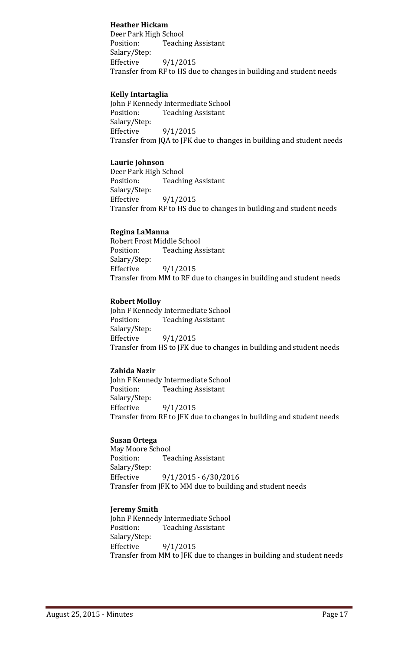#### **Heather Hickam**

Deer Park High School Position: Teaching Assistant Salary/Step: Effective  $9/1/2015$ Transfer from RF to HS due to changes in building and student needs

#### **Kelly Intartaglia**

John F Kennedy Intermediate School Position: Teaching Assistant Salary/Step: Effective  $9/1/2015$ Transfer from JQA to JFK due to changes in building and student needs

#### **Laurie Johnson**

Deer Park High School Position: Teaching Assistant Salary/Step: Effective  $9/1/2015$ Transfer from RF to HS due to changes in building and student needs

#### **Regina LaManna**

Robert Frost Middle School Position: Teaching Assistant Salary/Step: Effective  $9/1/2015$ Transfer from MM to RF due to changes in building and student needs

#### **Robert Molloy**

John F Kennedy Intermediate School Position: Teaching Assistant Salary/Step: Effective  $9/1/2015$ Transfer from HS to JFK due to changes in building and student needs

#### **Zahida Nazir**

John F Kennedy Intermediate School Position: Teaching Assistant Salary/Step: Effective  $9/1/2015$ Transfer from RF to JFK due to changes in building and student needs

#### **Susan Ortega**

May Moore School Position: Teaching Assistant Salary/Step: Effective 9/1/2015 - 6/30/2016 Transfer from JFK to MM due to building and student needs

#### **Jeremy Smith**

John F Kennedy Intermediate School Position: Teaching Assistant Salary/Step: Effective  $9/1/2015$ Transfer from MM to JFK due to changes in building and student needs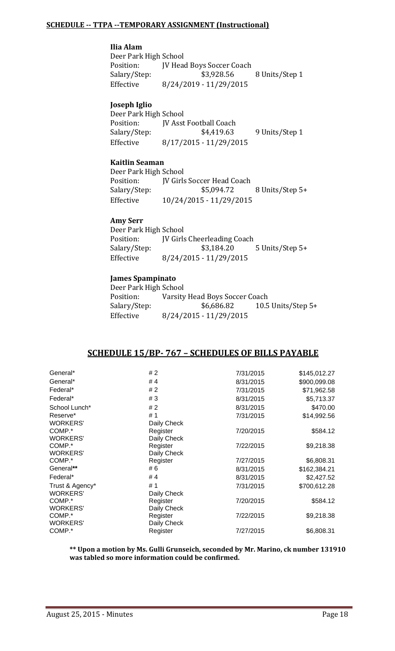#### **SCHEDULE ‐‐ TTPA ‐‐TEMPORARY ASSIGNMENT (Instructional)**

#### **Ilia Alam**

Deer Park High School Position: **JV** Head Boys Soccer Coach Salary/Step: \$3,928.56 8 Units/Step 1 Effective 8/24/2019 - 11/29/2015

#### **Joseph Iglio**

Deer Park High School Position: **JV** Asst Football Coach Salary/Step: \$4,419.63 9 Units/Step 1 Effective 8/17/2015 - 11/29/2015

#### **Kaitlin Seaman**

Deer Park High School Position: **JV** Girls Soccer Head Coach Salary/Step: \$5,094.72 8 Units/Step 5+ Effective  $10/24/2015 - 11/29/2015$ 

#### **Amy Serr**

Deer Park High School Position: **JV** Girls Cheerleading Coach Salary/Step: \$3,184.20 5 Units/Step 5+ Effective 8/24/2015 - 11/29/2015

#### **James Spampinato**

| Deer Park High School |                                |                      |
|-----------------------|--------------------------------|----------------------|
| Position:             | Varsity Head Boys Soccer Coach |                      |
| Salary/Step:          | \$6,686.82                     | 10.5 Units/Step $5+$ |
| Effective             | 8/24/2015 - 11/29/2015         |                      |

#### **SCHEDULE 15/BP‐ 767 – SCHEDULES OF BILLS PAYABLE**

| General*        | # 2         | 7/31/2015 | \$145,012.27 |
|-----------------|-------------|-----------|--------------|
| General*        | #4          | 8/31/2015 | \$900,099.08 |
| Federal*        | #2          | 7/31/2015 | \$71,962.58  |
| Federal*        | #3          | 8/31/2015 | \$5,713.37   |
| School Lunch*   | #2          | 8/31/2015 | \$470.00     |
| Reserve*        | #1          | 7/31/2015 | \$14,992.56  |
| <b>WORKERS'</b> | Daily Check |           |              |
| COMP.*          | Register    | 7/20/2015 | \$584.12     |
| <b>WORKERS'</b> | Daily Check |           |              |
| COMP.*          | Register    | 7/22/2015 | \$9,218.38   |
| <b>WORKERS'</b> | Daily Check |           |              |
| COMP.*          | Register    | 7/27/2015 | \$6,808.31   |
| General**       | # 6         | 8/31/2015 | \$162,384.21 |
| Federal*        | #4          | 8/31/2015 | \$2,427.52   |
| Trust & Agency* | #1          | 7/31/2015 | \$700,612.28 |
| <b>WORKERS'</b> | Daily Check |           |              |
| COMP.*          | Register    | 7/20/2015 | \$584.12     |
| <b>WORKERS'</b> | Daily Check |           |              |
| COMP.*          | Register    | 7/22/2015 | \$9,218.38   |
| <b>WORKERS'</b> | Daily Check |           |              |
| COMP.*          | Register    | 7/27/2015 | \$6,808.31   |
|                 |             |           |              |

**\*\* Upon a motion by Ms. Gulli Grunseich, seconded by Mr. Marino, ck number 131910 was tabled so more information could be confirmed.**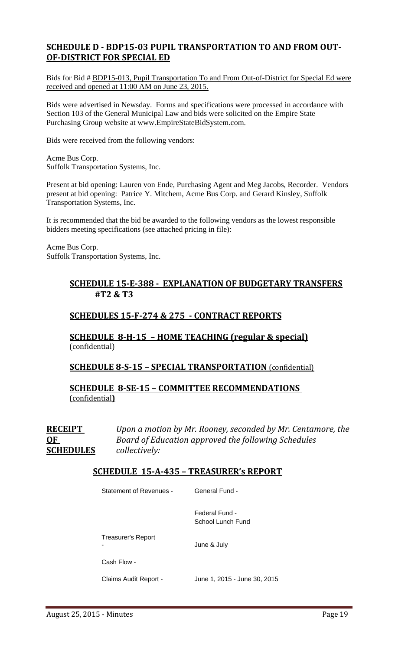#### **SCHEDULE D ‐ BDP15‐03 PUPIL TRANSPORTATION TO AND FROM OUT‐ OF‐DISTRICT FOR SPECIAL ED**

Bids for Bid # BDP15-013, Pupil Transportation To and From Out-of-District for Special Ed were received and opened at 11:00 AM on June 23, 2015.

Bids were advertised in Newsday. Forms and specifications were processed in accordance with Section 103 of the General Municipal Law and bids were solicited on the Empire State Purchasing Group website at www.EmpireStateBidSystem.com.

Bids were received from the following vendors:

Acme Bus Corp. Suffolk Transportation Systems, Inc.

Present at bid opening: Lauren von Ende, Purchasing Agent and Meg Jacobs, Recorder. Vendors present at bid opening: Patrice Y. Mitchem, Acme Bus Corp. and Gerard Kinsley, Suffolk Transportation Systems, Inc.

It is recommended that the bid be awarded to the following vendors as the lowest responsible bidders meeting specifications (see attached pricing in file):

Acme Bus Corp. Suffolk Transportation Systems, Inc.

#### **SCHEDULE 15‐E‐388 ‐ EXPLANATION OF BUDGETARY TRANSFERS #T2 & T3**

#### **SCHEDULES 15‐F‐274 & 275 ‐ CONTRACT REPORTS**

#### **SCHEDULE 8‐H‐15 – HOME TEACHING (regular & special)** (confidential)

#### **SCHEDULE 8‐S‐15 – SPECIAL TRANSPORTATION** (confidential)

**SCHEDULE 8‐SE‐15 – COMMITTEE RECOMMENDATIONS** (confidential**)**

**RECEIPT** *Upon a motion by Mr. Rooney, seconded by Mr. Centamore, the* **OF** *Board of Education approved the following Schedules* **SCHEDULES** *collectively:*

#### **SCHEDULE 15‐A‐435 – TREASURER's REPORT**

| Statement of Revenues - | General Fund -                      |
|-------------------------|-------------------------------------|
|                         | Federal Fund -<br>School Lunch Fund |
| Treasurer's Report      | June & July                         |
| Cash Flow -             |                                     |
| Claims Audit Report -   | June 1, 2015 - June 30, 2015        |